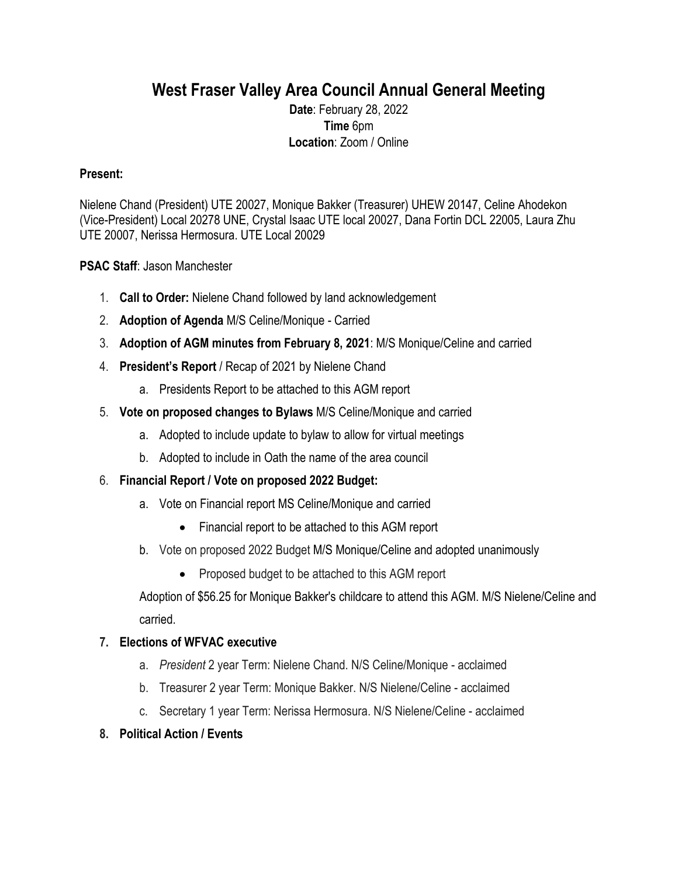# **West Fraser Valley Area Council Annual General Meeting**

**Date**: February 28, 2022 **Time** 6pm **Location**: Zoom / Online

## **Present:**

Nielene Chand (President) UTE 20027, Monique Bakker (Treasurer) UHEW 20147, Celine Ahodekon (Vice-President) Local 20278 UNE, Crystal Isaac UTE local 20027, Dana Fortin DCL 22005, Laura Zhu UTE 20007, Nerissa Hermosura. UTE Local 20029

## **PSAC Staff**: Jason Manchester

- 1. **Call to Order:** Nielene Chand followed by land acknowledgement
- 2. **Adoption of Agenda** M/S Celine/Monique Carried
- 3. **Adoption of AGM minutes from February 8, 2021**: M/S Monique/Celine and carried
- 4. **President's Report** / Recap of 2021 by Nielene Chand
	- a. Presidents Report to be attached to this AGM report
- 5. **Vote on proposed changes to Bylaws** M/S Celine/Monique and carried
	- a. Adopted to include update to bylaw to allow for virtual meetings
	- b. Adopted to include in Oath the name of the area council
- 6. **Financial Report / Vote on proposed 2022 Budget:**
	- a. Vote on Financial report MS Celine/Monique and carried
		- Financial report to be attached to this AGM report
	- b. Vote on proposed 2022 Budget M/S Monique/Celine and adopted unanimously
		- Proposed budget to be attached to this AGM report

Adoption of \$56.25 for Monique Bakker's childcare to attend this AGM. M/S Nielene/Celine and carried.

### **7. Elections of WFVAC executive**

- a. *President* 2 year Term: Nielene Chand. N/S Celine/Monique acclaimed
- b. Treasurer 2 year Term: Monique Bakker. N/S Nielene/Celine acclaimed
- c. Secretary 1 year Term: Nerissa Hermosura. N/S Nielene/Celine acclaimed

### **8. Political Action / Events**